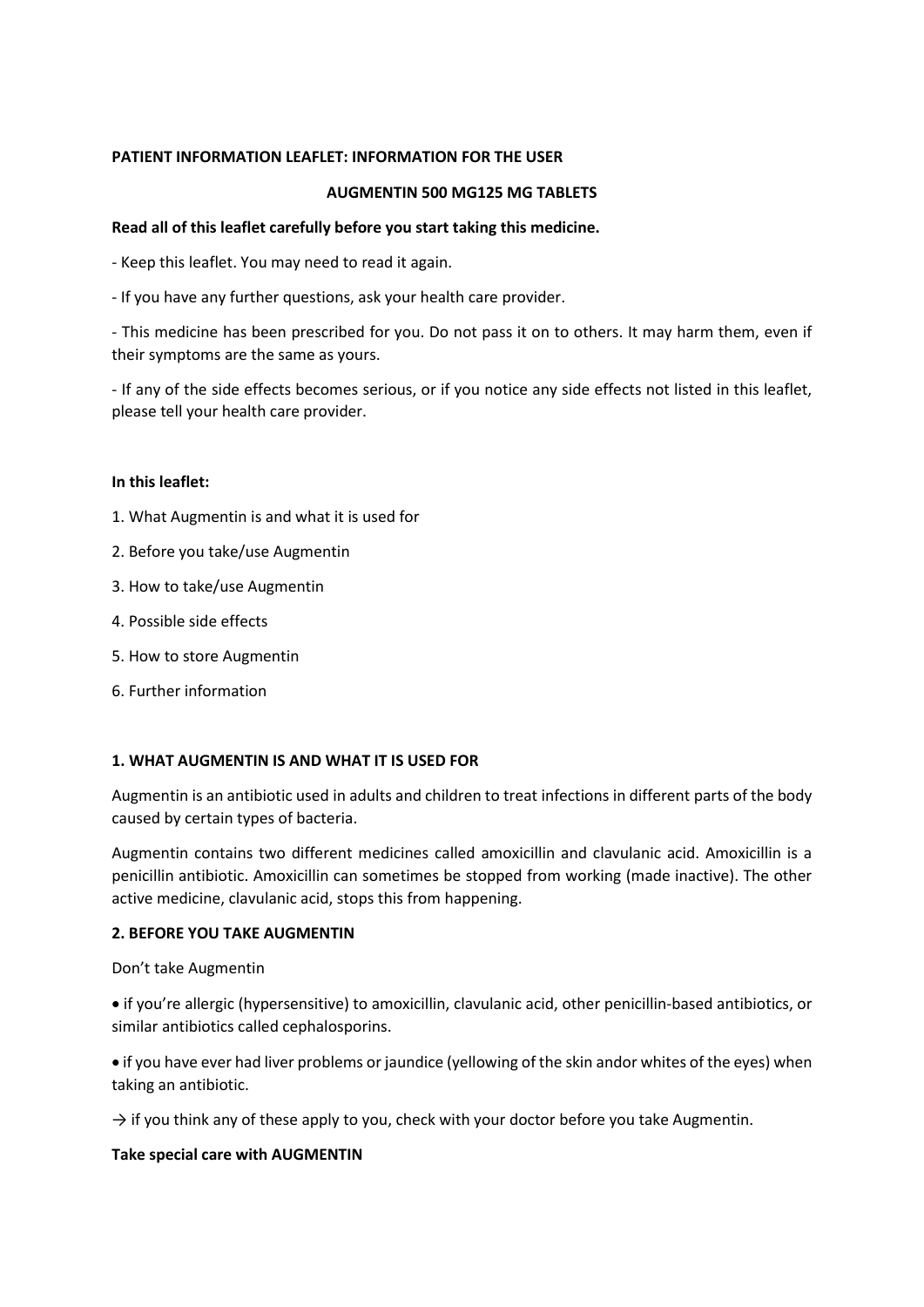# **PATIENT INFORMATION LEAFLET: INFORMATION FOR THE USER**

### **AUGMENTIN 500 MG125 MG TABLETS**

### **Read all of this leaflet carefully before you start taking this medicine.**

- Keep this leaflet. You may need to read it again.

- If you have any further questions, ask your health care provider.

- This medicine has been prescribed for you. Do not pass it on to others. It may harm them, even if their symptoms are the same as yours.

- If any of the side effects becomes serious, or if you notice any side effects not listed in this leaflet, please tell your health care provider.

#### **In this leaflet:**

- 1. What Augmentin is and what it is used for
- 2. Before you take/use Augmentin
- 3. How to take/use Augmentin
- 4. Possible side effects
- 5. How to store Augmentin
- 6. Further information

### **1. WHAT AUGMENTIN IS AND WHAT IT IS USED FOR**

Augmentin is an antibiotic used in adults and children to treat infections in different parts of the body caused by certain types of bacteria.

Augmentin contains two different medicines called amoxicillin and clavulanic acid. Amoxicillin is a penicillin antibiotic. Amoxicillin can sometimes be stopped from working (made inactive). The other active medicine, clavulanic acid, stops this from happening.

#### **2. BEFORE YOU TAKE AUGMENTIN**

Don't take Augmentin

• if you're allergic (hypersensitive) to amoxicillin, clavulanic acid, other penicillin-based antibiotics, or similar antibiotics called cephalosporins.

• if you have ever had liver problems or jaundice (yellowing of the skin andor whites of the eyes) when taking an antibiotic.

 $\rightarrow$  if you think any of these apply to you, check with your doctor before you take Augmentin.

### **Take special care with AUGMENTIN**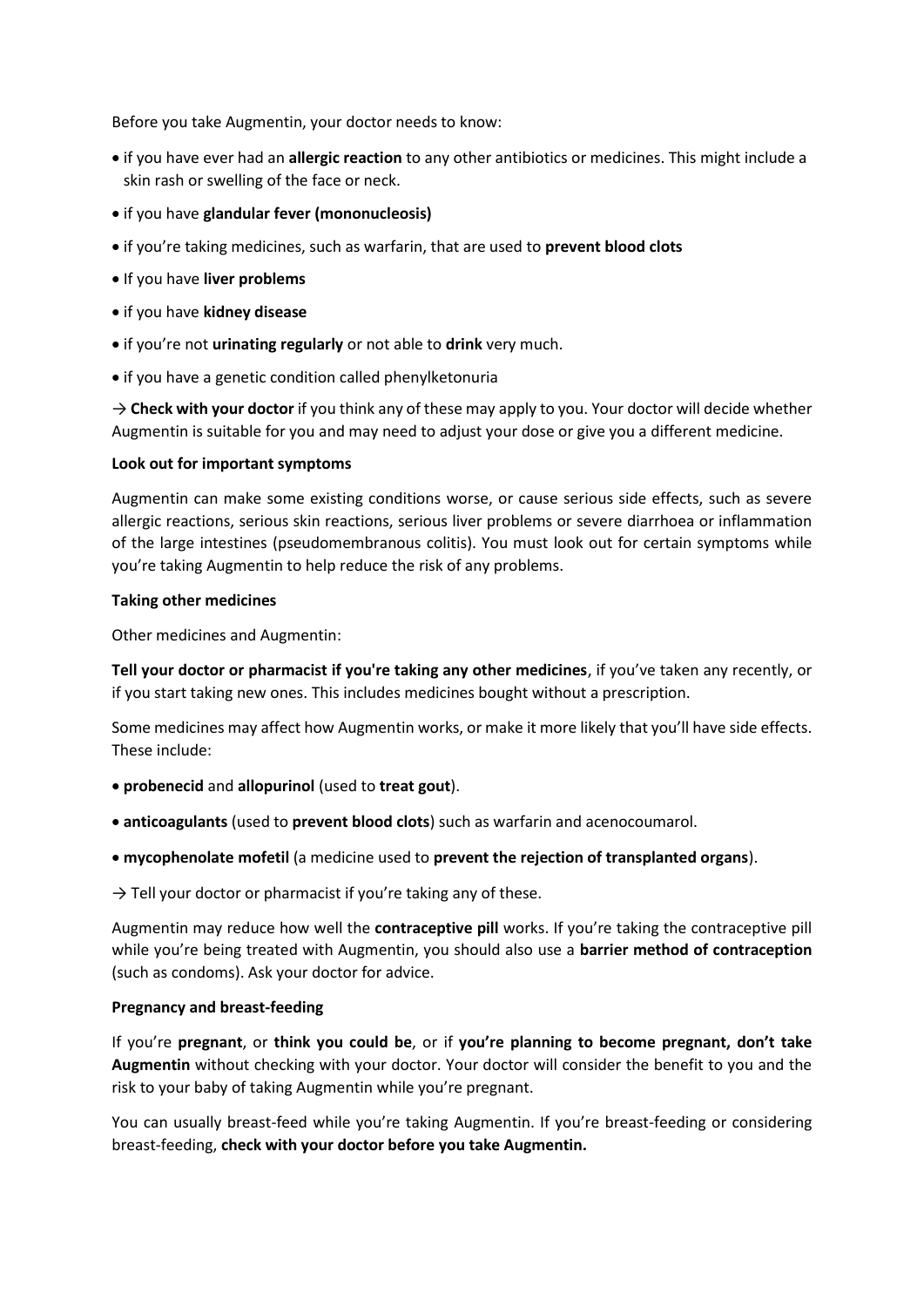Before you take Augmentin, your doctor needs to know:

- if you have ever had an **allergic reaction** to any other antibiotics or medicines. This might include a skin rash or swelling of the face or neck.
- if you have **glandular fever (mononucleosis)**
- if you're taking medicines, such as warfarin, that are used to **prevent blood clots**
- If you have **liver problems**
- if you have **kidney disease**
- if you're not **urinating regularly** or not able to **drink** very much.
- if you have a genetic condition called phenylketonuria

 $\rightarrow$  **Check with your doctor** if you think any of these may apply to you. Your doctor will decide whether Augmentin is suitable for you and may need to adjust your dose or give you a different medicine.

### **Look out for important symptoms**

Augmentin can make some existing conditions worse, or cause serious side effects, such as severe allergic reactions, serious skin reactions, serious liver problems or severe diarrhoea or inflammation of the large intestines (pseudomembranous colitis). You must look out for certain symptoms while you're taking Augmentin to help reduce the risk of any problems.

### **Taking other medicines**

Other medicines and Augmentin:

**Tell your doctor or pharmacist if you're taking any other medicines**, if you've taken any recently, or if you start taking new ones. This includes medicines bought without a prescription.

Some medicines may affect how Augmentin works, or make it more likely that you'll have side effects. These include:

- **probenecid** and **allopurinol** (used to **treat gout**).
- **anticoagulants** (used to **prevent blood clots**) such as warfarin and acenocoumarol.
- **mycophenolate mofetil** (a medicine used to **prevent the rejection of transplanted organs**).

 $\rightarrow$  Tell your doctor or pharmacist if you're taking any of these.

Augmentin may reduce how well the **contraceptive pill** works. If you're taking the contraceptive pill while you're being treated with Augmentin, you should also use a **barrier method of contraception** (such as condoms). Ask your doctor for advice.

### **Pregnancy and breast-feeding**

If you're **pregnant**, or **think you could be**, or if **you're planning to become pregnant, don't take Augmentin** without checking with your doctor. Your doctor will consider the benefit to you and the risk to your baby of taking Augmentin while you're pregnant.

You can usually breast-feed while you're taking Augmentin. If you're breast-feeding or considering breast-feeding, **check with your doctor before you take Augmentin.**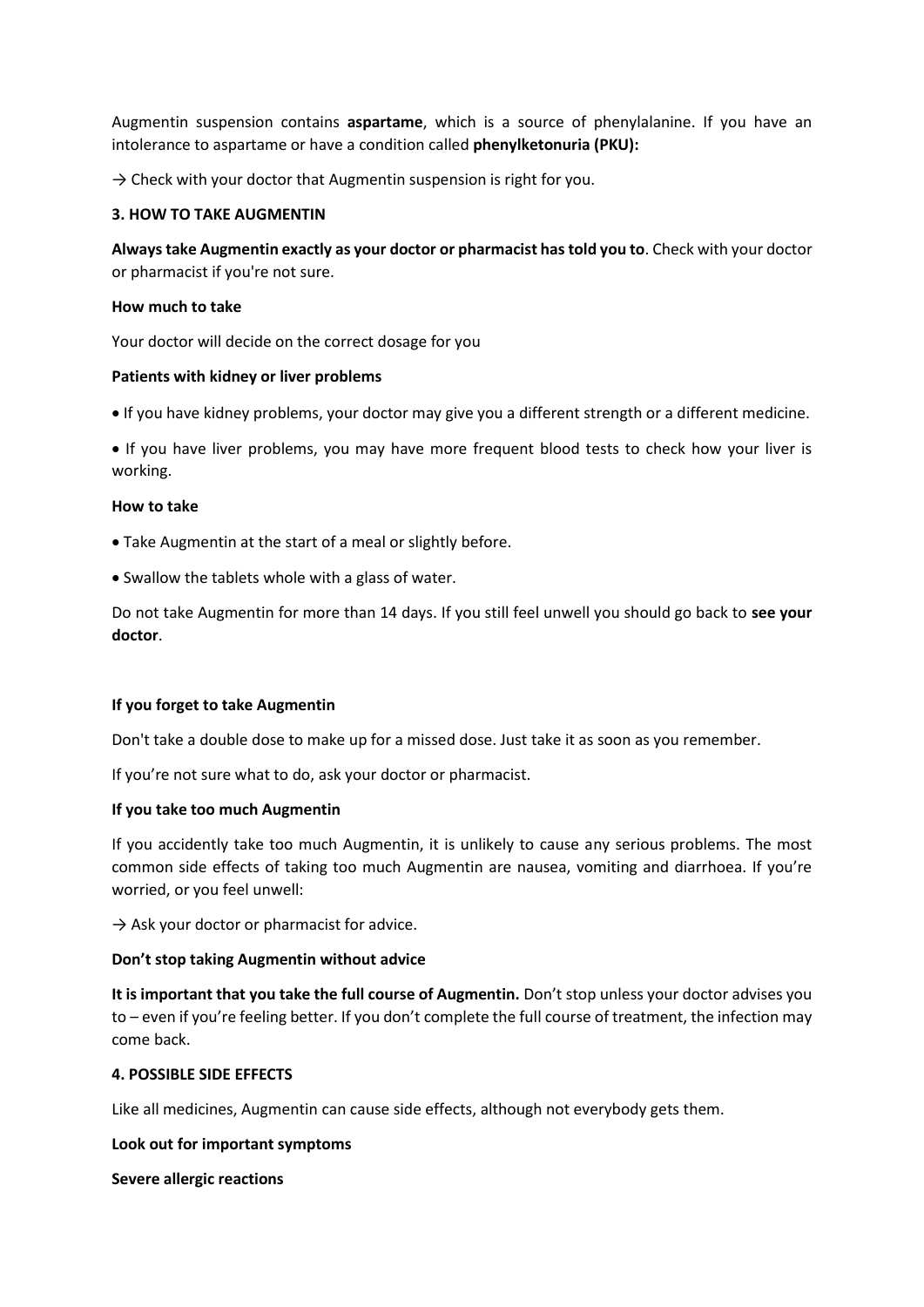Augmentin suspension contains **aspartame**, which is a source of phenylalanine. If you have an intolerance to aspartame or have a condition called **phenylketonuria (PKU):**

 $\rightarrow$  Check with your doctor that Augmentin suspension is right for you.

#### **3. HOW TO TAKE AUGMENTIN**

**Always take Augmentin exactly as your doctor or pharmacist has told you to**. Check with your doctor or pharmacist if you're not sure.

#### **How much to take**

Your doctor will decide on the correct dosage for you

#### **Patients with kidney or liver problems**

• If you have kidney problems, your doctor may give you a different strength or a different medicine.

• If you have liver problems, you may have more frequent blood tests to check how your liver is working.

#### **How to take**

- Take Augmentin at the start of a meal or slightly before.
- Swallow the tablets whole with a glass of water.

Do not take Augmentin for more than 14 days. If you still feel unwell you should go back to **see your doctor**.

### **If you forget to take Augmentin**

Don't take a double dose to make up for a missed dose. Just take it as soon as you remember.

If you're not sure what to do, ask your doctor or pharmacist.

#### **If you take too much Augmentin**

If you accidently take too much Augmentin, it is unlikely to cause any serious problems. The most common side effects of taking too much Augmentin are nausea, vomiting and diarrhoea. If you're worried, or you feel unwell:

 $\rightarrow$  Ask your doctor or pharmacist for advice.

#### **Don't stop taking Augmentin without advice**

**It is important that you take the full course of Augmentin.** Don't stop unless your doctor advises you to – even if you're feeling better. If you don't complete the full course of treatment, the infection may come back.

#### **4. POSSIBLE SIDE EFFECTS**

Like all medicines, Augmentin can cause side effects, although not everybody gets them.

#### **Look out for important symptoms**

**Severe allergic reactions**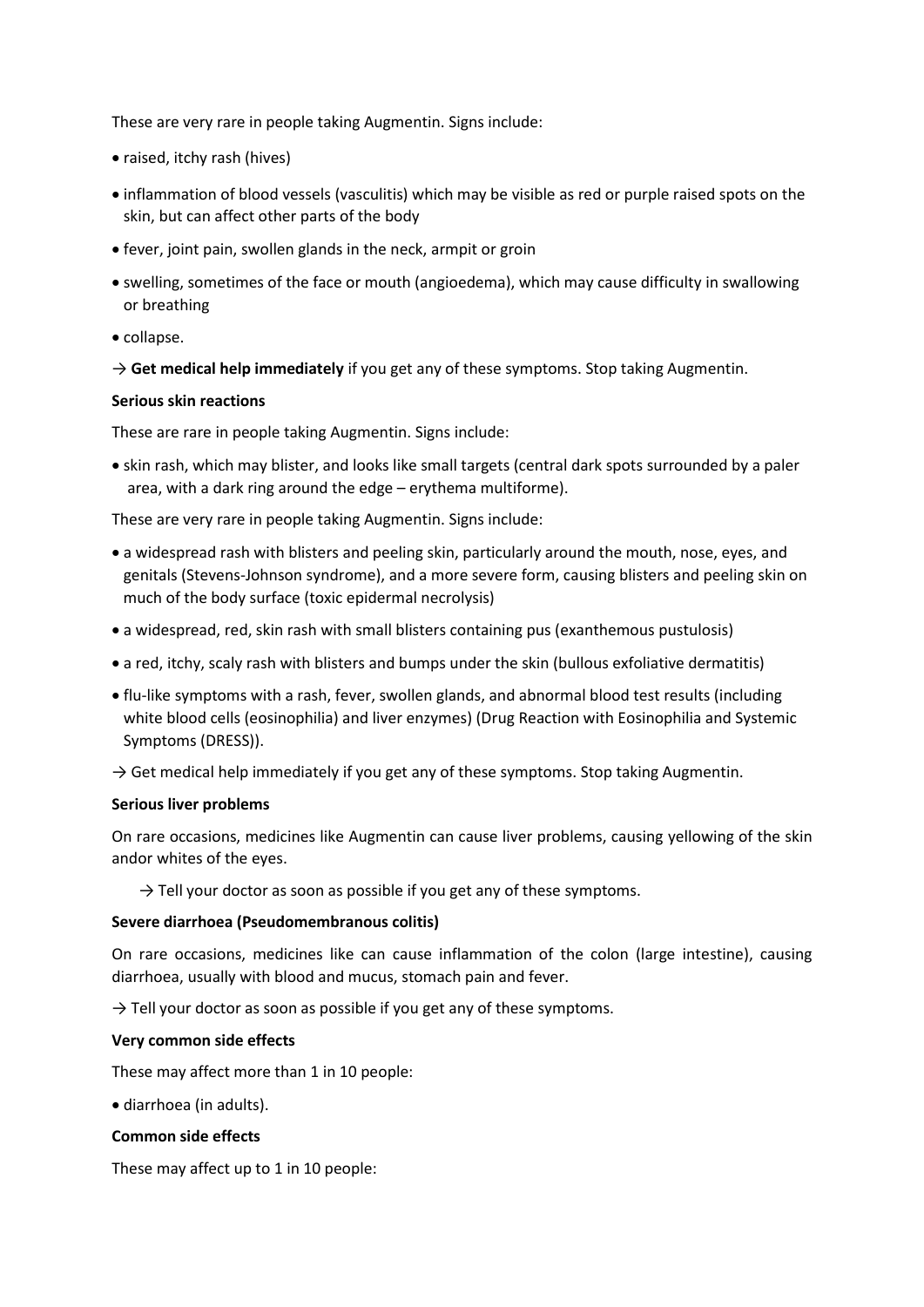These are very rare in people taking Augmentin. Signs include:

- raised, itchy rash (hives)
- inflammation of blood vessels (vasculitis) which may be visible as red or purple raised spots on the skin, but can affect other parts of the body
- fever, joint pain, swollen glands in the neck, armpit or groin
- swelling, sometimes of the face or mouth (angioedema), which may cause difficulty in swallowing or breathing
- collapse.

 $\rightarrow$  Get medical help immediately if you get any of these symptoms. Stop taking Augmentin.

### **Serious skin reactions**

These are rare in people taking Augmentin. Signs include:

• skin rash, which may blister, and looks like small targets (central dark spots surrounded by a paler area, with a dark ring around the edge – erythema multiforme).

These are very rare in people taking Augmentin. Signs include:

- a widespread rash with blisters and peeling skin, particularly around the mouth, nose, eyes, and genitals (Stevens-Johnson syndrome), and a more severe form, causing blisters and peeling skin on much of the body surface (toxic epidermal necrolysis)
- a widespread, red, skin rash with small blisters containing pus (exanthemous pustulosis)
- a red, itchy, scaly rash with blisters and bumps under the skin (bullous exfoliative dermatitis)
- flu-like symptoms with a rash, fever, swollen glands, and abnormal blood test results (including white blood cells (eosinophilia) and liver enzymes) (Drug Reaction with Eosinophilia and Systemic Symptoms (DRESS)).
- $\rightarrow$  Get medical help immediately if you get any of these symptoms. Stop taking Augmentin.

### **Serious liver problems**

On rare occasions, medicines like Augmentin can cause liver problems, causing yellowing of the skin andor whites of the eyes.

 $\rightarrow$  Tell your doctor as soon as possible if you get any of these symptoms.

### **Severe diarrhoea (Pseudomembranous colitis)**

On rare occasions, medicines like can cause inflammation of the colon (large intestine), causing diarrhoea, usually with blood and mucus, stomach pain and fever.

 $\rightarrow$  Tell your doctor as soon as possible if you get any of these symptoms.

### **Very common side effects**

These may affect more than 1 in 10 people:

• diarrhoea (in adults).

#### **Common side effects**

These may affect up to 1 in 10 people: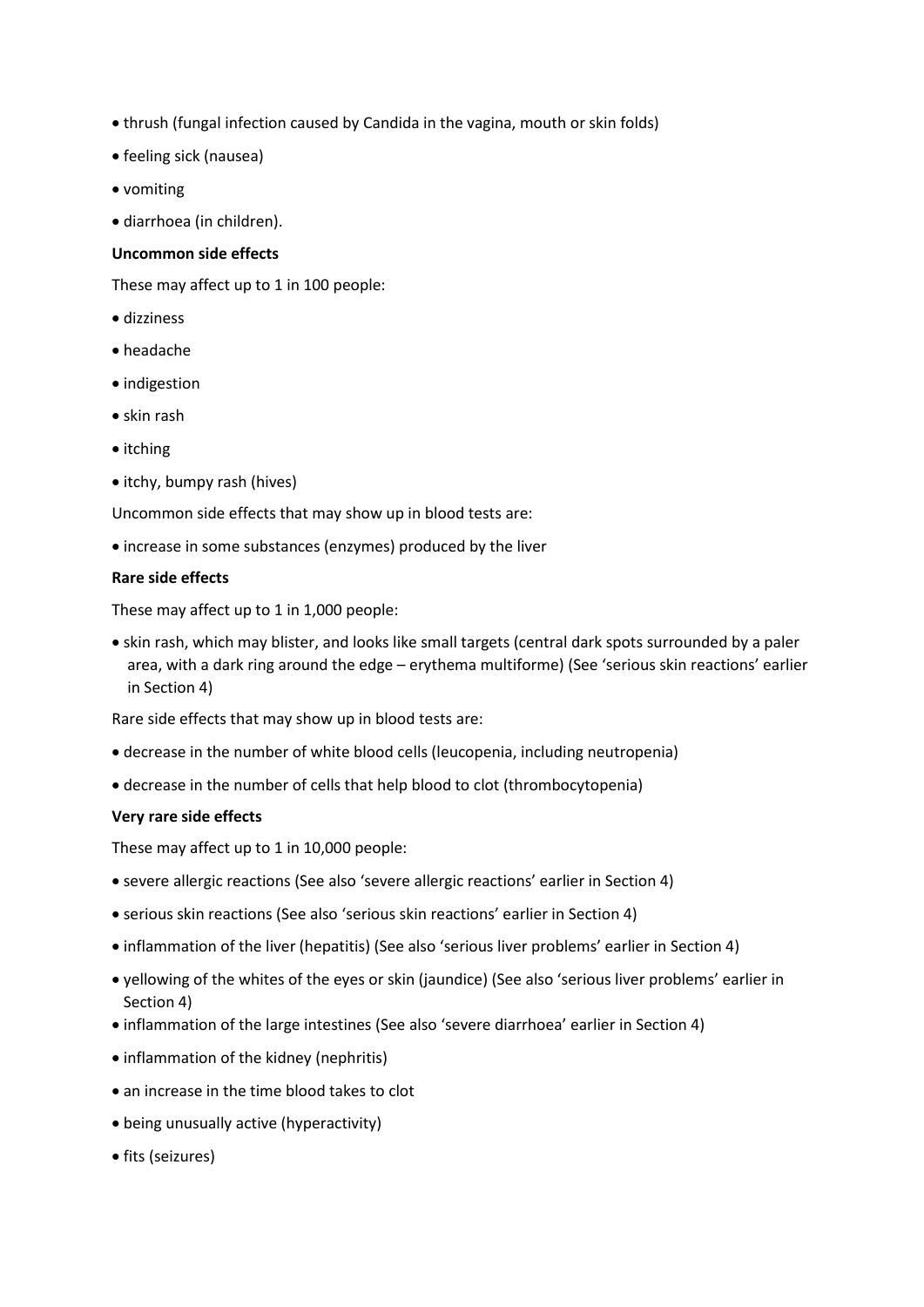- thrush (fungal infection caused by Candida in the vagina, mouth or skin folds)
- feeling sick (nausea)
- vomiting
- diarrhoea (in children).

### **Uncommon side effects**

These may affect up to 1 in 100 people:

- dizziness
- headache
- indigestion
- skin rash
- itching
- itchy, bumpy rash (hives)

Uncommon side effects that may show up in blood tests are:

• increase in some substances (enzymes) produced by the liver

# **Rare side effects**

These may affect up to 1 in 1,000 people:

• skin rash, which may blister, and looks like small targets (central dark spots surrounded by a paler area, with a dark ring around the edge – erythema multiforme) (See 'serious skin reactions' earlier in Section 4)

Rare side effects that may show up in blood tests are:

- decrease in the number of white blood cells (leucopenia, including neutropenia)
- decrease in the number of cells that help blood to clot (thrombocytopenia)

### **Very rare side effects**

These may affect up to 1 in 10,000 people:

- severe allergic reactions (See also 'severe allergic reactions' earlier in Section 4)
- serious skin reactions (See also 'serious skin reactions' earlier in Section 4)
- inflammation of the liver (hepatitis) (See also 'serious liver problems' earlier in Section 4)
- yellowing of the whites of the eyes or skin (jaundice) (See also 'serious liver problems' earlier in Section 4)
- inflammation of the large intestines (See also 'severe diarrhoea' earlier in Section 4)
- inflammation of the kidney (nephritis)
- an increase in the time blood takes to clot
- being unusually active (hyperactivity)
- fits (seizures)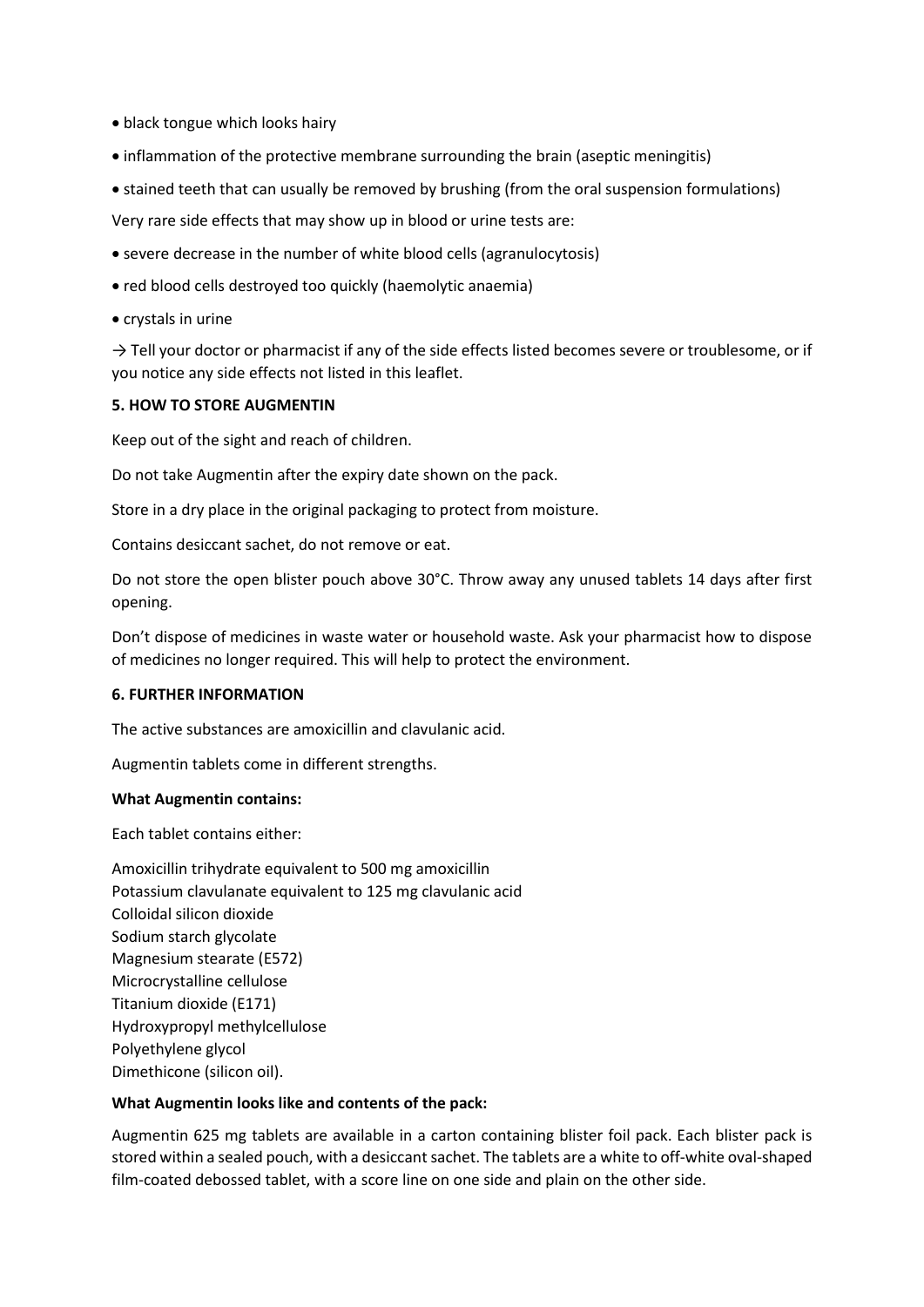- black tongue which looks hairy
- inflammation of the protective membrane surrounding the brain (aseptic meningitis)
- stained teeth that can usually be removed by brushing (from the oral suspension formulations)

Very rare side effects that may show up in blood or urine tests are:

- severe decrease in the number of white blood cells (agranulocytosis)
- red blood cells destroyed too quickly (haemolytic anaemia)
- crystals in urine

 $\rightarrow$  Tell your doctor or pharmacist if any of the side effects listed becomes severe or troublesome, or if you notice any side effects not listed in this leaflet.

### **5. HOW TO STORE AUGMENTIN**

Keep out of the sight and reach of children.

Do not take Augmentin after the expiry date shown on the pack.

Store in a dry place in the original packaging to protect from moisture.

Contains desiccant sachet, do not remove or eat.

Do not store the open blister pouch above 30°C. Throw away any unused tablets 14 days after first opening.

Don't dispose of medicines in waste water or household waste. Ask your pharmacist how to dispose of medicines no longer required. This will help to protect the environment.

### **6. FURTHER INFORMATION**

The active substances are amoxicillin and clavulanic acid.

Augmentin tablets come in different strengths.

### **What Augmentin contains:**

Each tablet contains either:

Amoxicillin trihydrate equivalent to 500 mg amoxicillin Potassium clavulanate equivalent to 125 mg clavulanic acid Colloidal silicon dioxide Sodium starch glycolate Magnesium stearate (E572) Microcrystalline cellulose Titanium dioxide (E171) Hydroxypropyl methylcellulose Polyethylene glycol Dimethicone (silicon oil).

### **What Augmentin looks like and contents of the pack:**

Augmentin 625 mg tablets are available in a carton containing blister foil pack. Each blister pack is stored within a sealed pouch, with a desiccant sachet. The tablets are a white to off-white oval-shaped film-coated debossed tablet, with a score line on one side and plain on the other side.